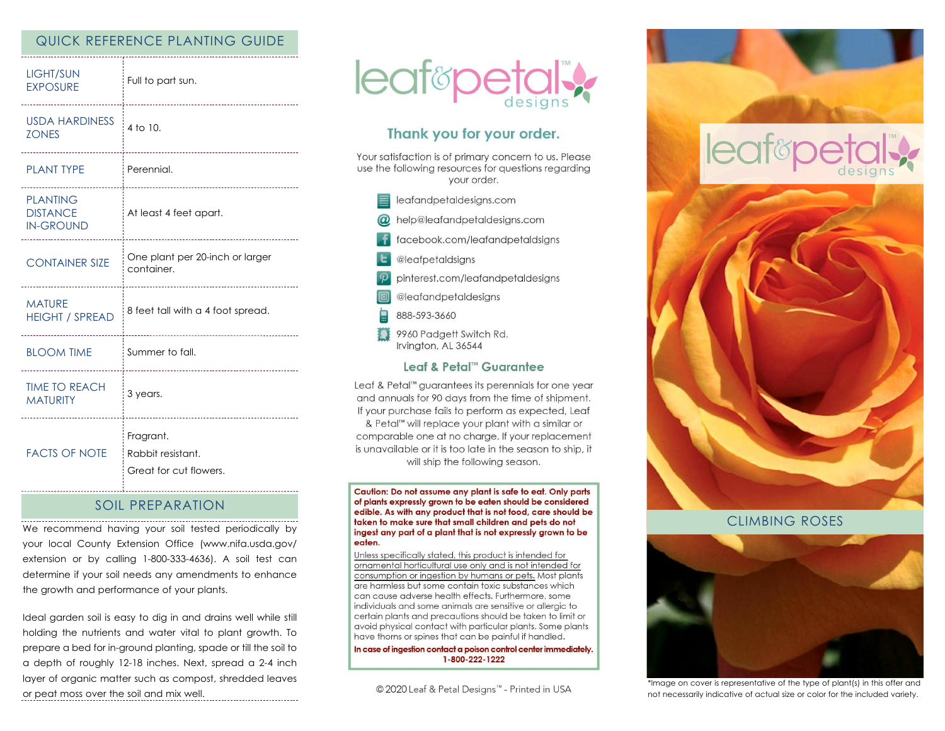## QUICK REFERENCE PLANTING GUIDE

| <b>LIGHT/SUN</b><br><b>EXPOSURE</b>                    | Full to part sun.<br>                                                            |
|--------------------------------------------------------|----------------------------------------------------------------------------------|
| USDA HARDINESS<br><b>ZONES</b>                         | 4 to 10.<br>                                                                     |
| <b>PLANT TYPE</b>                                      | Perennial.<br>-----------------------                                            |
| <b>PLANTING</b><br><b>DISTANCE</b><br><b>IN-GROUND</b> | At least 4 feet apart.<br>                                                       |
| <b>CONTAINER SIZE</b><br>---------------------         | One plant per 20-inch or larger<br>container.<br>------------------------------- |
| <b>MATURE</b><br><b>HEIGHT / SPREAD</b>                | 8 feet tall with a 4 foot spread.                                                |
| <b>BLOOM TIME</b>                                      | Summer to fall.<br>                                                              |
| <b>TIME TO REACH</b><br><b>MATURITY</b>                | 3 years.<br>--------------------------                                           |
| <b>FACTS OF NOTE</b>                                   | Fragrant.<br>Rabbit resistant.<br>Great for cut flowers.                         |

#### SOIL PREPARATION

We recommend having your soil tested periodically by your local County Extension Office (www.nifa.usda.gov/ extension or by calling 1-800-333-4636). A soil test can determine if your soil needs any amendments to enhance the growth and performance of your plants.

Ideal garden soil is easy to dig in and drains well while still holding the nutrients and water vital to plant growth. To prepare a bed for in-ground planting, spade or till the soil to a depth of roughly 12-18 inches. Next, spread a 2-4 inch layer of organic matter such as compost, shredded leaves or peat moss over the soil and mix well.



# Thank you for your order.

Your satisfaction is of primary concern to us. Please use the following resources for questions regarding vour order.

- eafandpetaldesigns.com @ help@leafandpetaldesigns.com
- facebook.com/leafandpetaldsigns
- **L** @leafpetaldsigns
- pinterest.com/leafandpetaldesigns
- @leafandpetaldesigns
- 888-593-3660
- 9960 Padgett Switch Rd. Irvington, AL 36544

#### Leaf & Petal™ Guarantee

Leaf & Petal™ guarantees its perennials for one year and annuals for 90 days from the time of shipment. If your purchase fails to perform as expected, Leaf & Petal<sup>™</sup> will replace your plant with a similar or comparable one at no charge. If your replacement is unavailable or it is too late in the season to ship, it will ship the following season.

Caution: Do not assume any plant is safe to eat. Only parts of plants expressly grown to be eaten should be considered edible. As with any product that is not food, care should be taken to make sure that small children and pets do not ingest any part of a plant that is not expressly grown to be eaten.

Unless specifically stated, this product is intended for ornamental horticultural use only and is not intended for consumption or ingestion by humans or pets. Most plants are harmless but some contain toxic substances which can cause adverse health effects. Furthermore, some individuals and some animals are sensitive or allergic to certain plants and precautions should be taken to limit or avoid physical contact with particular plants. Some plants have thorns or spines that can be painful if handled.

In case of ingestion contact a poison control center immediately. 1-800-222-1222

© 2020 Leaf & Petal Designs™ - Printed in USA



## CLIMBING ROSES



\*Image on cover is representative of the type of plant(s) in this offer and not necessarily indicative of actual size or color for the included variety.